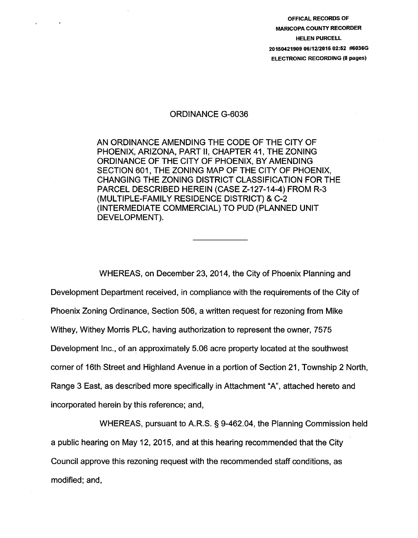OFFICAL RECORDS OF MARICOPA COUNTY RECORDER HELEN PURCELL 20150421909 06/12/2015 02:52 #6036G ELECTRONIC RECORDING (8 pages)

#### ORDINANCE G-6036

AN ORDINANCE AMENDING THE CODE OF THE CITY OF PHOENIX, ARIZONA, PART II, CHAPTER 41, THE ZONING ORDINANCE OF THE CITY OF PHOENIX, BY AMENDING SECTION 601, THE ZONING MAP OF THE CITY OF PHOENIX, CHANGING THE ZONING DISTRICT CLASSIFICATION FOR THE PARCEL DESCRIBED HEREIN (CASE Z-127-14-4) FROM R-3 (MULTIPLE-FAMILY RESIDENCE DISTRICT) & C-2 (INTERMEDIATE COMMERCIAL) TO PUD (PLANNED UNIT DEVELOPMENT).

WHEREAS, on December 23, 2014, the City of Phoenix Planning and Development Department received, in compliance with the requirements of the City of Phoenix Zoning Ordinance, Section 506, a written request for rezoning from Mike Withey, Withey Morris PLC, having authorization to represent the owner, 7575 Development Inc., of an approximately 5.06 acre property located at the southwest corner of 16th Street and Highland Avenue in a portion of Section 21, Township 2 North, Range 3 East, as described more specifically in Attachment "A", attached hereto and incorporated herein by this reference; and,

WHEREAS, pursuant to A.R.S. § 9-462.04, the Planning Commission held a public hearing on May 12, 2015, and at this hearing recommended that the City Council approve this rezoning request with the recommended staff conditions, as modified; and,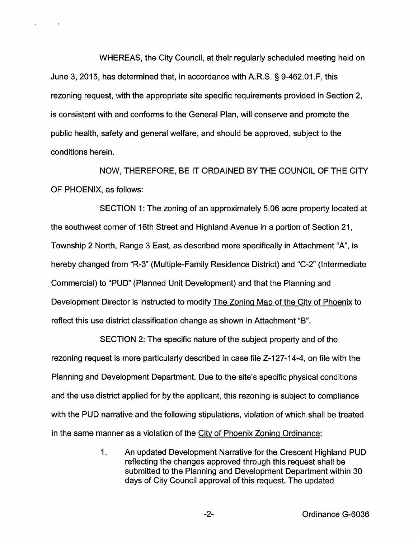WHEREAS, the City Council, at their regularly scheduled meeting held on June 3, 2015, has determined that, in accordance with A.R.S. § 9-462.01.F, this rezoning request, with the appropriate site specific requirements provided in Section 2, is consistent with and conforms to the General Plan, will conserve and promote the public health, safety and general welfare, and should be approved, subject to the conditions herein.

 $\sim$ 

NOW, THEREFORE, BE IT ORDAINED BY THE COUNCIL OF THE CITY OF PHOENIX, as follows:

SECTION 1: The zoning of an approximately 5.06 acre property located at the southwest comer of 16th Street and Highland Avenue in a portion of Section 21, Township 2 North, Range 3 East, as described more specifically in Attachment "A", is hereby changed from "R-3" (Multiple-Family Residence District) and "C-2" (Intermediate Commercial) to "PUD" (Planned Unit Development) and that the Planning and Development Director is instructed to modify The Zoning Map of the City of Phoenix to reflect this use district classification change as shown in Attachment "B".

SECTION 2: The specific nature of the subject property and of the rezoning request is more particularly described in case file Z-127-14-4, on file with the Planning and Development Department. Due to the site's specific physical conditions and the use district applied for by the applicant, this rezoning is subject to compliance with the PUD narrative and the following stipulations, violation of which shall be treated in the same manner as a violation of the City of Phoenix Zoning Ordinance:

> 1. An updated Development Narrative for the Crescent Highland PUD reflecting the changes approved through this request shall be submitted to the Planning and Development Department within 30 days of City Council approval of this request. The updated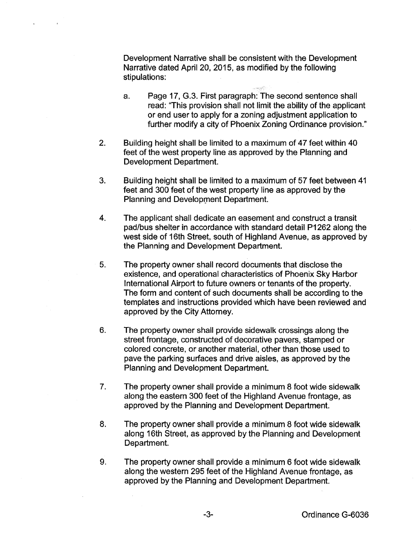Development Narrative shall be consistent with the Development Narrative dated April 20, 2015, as modified by the following stipulations:

- a. Page 17, G.3. First paragraph: The second sentence shall read: 'This provision shall not limit the ability of the applicant or end user to apply for a zoning adjustment application to further modify a city of Phoenix Zoning Ordinance provision."
- 2. Building height shall be limited to a maximum of 47 feet within 40 feet of the west property line as approved by the Planning and Development Department.
- 3. Building height shall be limited to a maximum of 57 feet between 41 feet and 300 feet of the west property line as approved by the Planning and Development Department.
- 4. The applicant shall dedicate an easement and construct a transit pad/bus shelter in accordance with standard detail P1262 along the west side of 16th Street, south of Highland Avenue, as approved by the Planning and Development Department.
- 5. The property owner shall record documents that disclose the existence, and operational characteristics of Phoenix Sky Harbor International Airport to future owners or tenants of the property. The form and content of such documents shall be according to the templates and instructions provided which have been reviewed and approved by the City Attorney.
- 6. The property owner shall provide sidewalk crossings along the street frontage, constructed of decorative pavers, stamped or colored concrete, or another material, other than those used to pave the parking surfaces and drive aisles, as approved by the Planning and Development Department.
- 7. The property owner shall provide a minimum 8 foot wide sidewalk along the eastern 300 feet of the Highland Avenue frontage, as approved by the Planning and Development Department.
- 8. The property owner shall provide a minimum 8 foot wide sidewalk along 16th Street, as approved by the Planning and Development Department.
- 9. The property owner shall provide a minimum 6 foot wide sidewalk along the western 295 feet of the Highland Avenue frontage, as approved by the Planning and Development Department.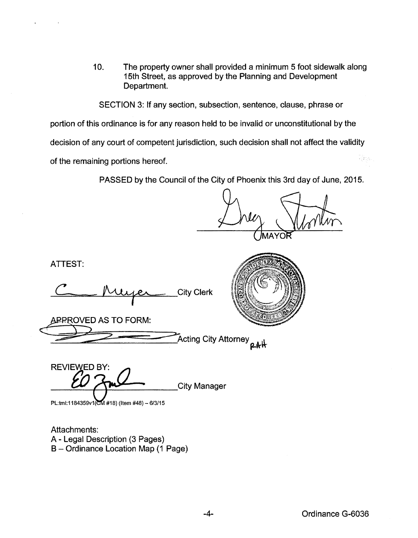10. The property owner shall provided a minimum 5 foot sidewalk along 15th Street, as approved by the Planning and Development Department.

SECTION 3: If any section, subsection, sentence, clause, phrase or portion of this ordinance is for any reason held to be invalid or unconstitutional by the decision of any court of competent jurisdiction, such decision shall not affect the validity Vára, of the remaining portions hereof.

PASSED by the Council of the City of Phoenix this 3rd day of June, 2015.

ATTEST:

rtest:<br>Chuyer City Clerk

~RROVED AS TO FORM:

Acting City Attorney **p.k**ik

REVIEWED BY: EWED BY:<br>**ED** And City Manager

PL:tml:1184359v1(CM #18) (Item #48) - 6/3/15

Attachments: A- Legal Description (3 Pages) B- Ordinance Location Map (1 Page)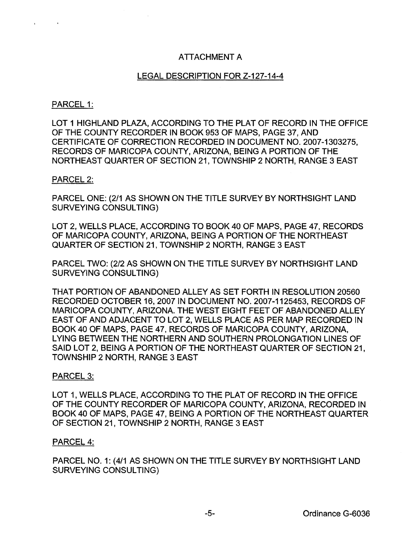# ATTACHMENT A

# LEGAL DESCRIPTION FOR Z-127-14-4

## PARCEL 1:

LOT 1 HIGHLAND PLAZA, ACCORDING TO THE PLAT OF RECORD IN THE OFFICE OF THE COUNTY RECORDER IN BOOK 953 OF MAPS, PAGE 37, AND CERTIFICATE OF CORRECTION RECORDED IN DOCUMENT NO. 2007-1303275, RECORDS OF MARICOPA COUNTY, ARIZONA, BEING A PORTION OF THE NORTHEAST QUARTER OF SECTION 21, TOWNSHIP 2 NORTH, RANGE 3 EAST

### PARCEL 2:

PARCEL ONE: (2/1 AS SHOWN ON THE TITLE SURVEY BY NORTHSIGHT LAND SURVEYING CONSULTING)

LOT 2, WELLS PLACE, ACCORDING TO BOOK 40 OF MAPS, PAGE 47, RECORDS OF MARICOPA COUNTY, ARIZONA, BEING A PORTION OF THE NORTHEAST QUARTER OF SECTION 21, TOWNSHIP 2 NORTH, RANGE 3 EAST

PARCEL TWO: (2/2 AS SHOWN ON THE TITLE SURVEY BY NORTHSIGHT LAND SURVEYING CONSULTING)

THAT PORTION OF ABANDONED ALLEY AS SET FORTH IN RESOLUTION 20560 RECORDED OCTOBER 16, 2007 IN DOCUMENT NO. 2007-1125453, RECORDS OF MARICOPA COUNTY, ARIZONA. THE WEST EIGHT FEET OF ABANDONED ALLEY EAST OF AND ADJACENT TO LOT 2, WELLS PLACE AS PER MAP RECORDED IN BOOK 40 OF MAPS, PAGE 47, RECORDS OF MARICOPA COUNTY, ARIZONA, LYING BETWEEN THE NORTHERN AND SOUTHERN PROLONGATION LINES OF SAID LOT 2, BEING A PORTION OF THE NORTHEAST QUARTER OF SECTION 21, TOWNSHIP 2 NORTH, RANGE 3 EAST

### PARCEL 3:

LOT 1, WELLS PLACE, ACCORDING TO THE PLAT OF RECORD IN THE OFFICE OF THE COUNTY RECORDER OF MARICOPA COUNTY, ARIZONA, RECORDED IN BOOK 40 OF MAPS, PAGE 47, BEING A PORTION OF THE NORTHEAST QUARTER OF SECTION 21, TOWNSHIP 2 NORTH, RANGE 3 EAST

### PARCEL 4:

PARCEL NO. 1: (4/1 AS SHOWN ON THE TITLE SURVEY BY NORTHSIGHT LAND SURVEYING CONSULTING)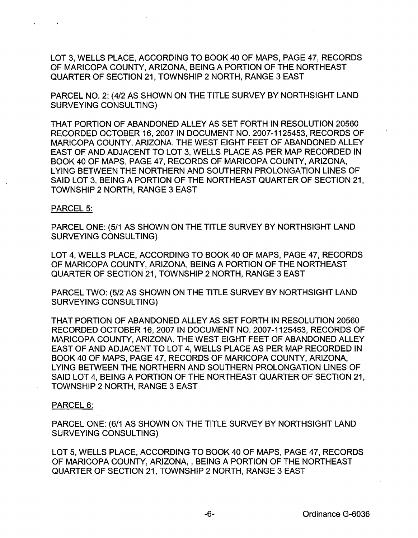LOT 3, WELLS PLACE, ACCORDING TO BOOK 40 OF MAPS, PAGE 47, RECORDS OF MARICOPA COUNTY, ARIZONA, BEING A PORTION OF THE NORTHEAST QUARTER OF SECTION 21, TOWNSHIP 2 NORTH, RANGE 3 EAST

PARCEL NO.2: (4/2 AS SHOWN ON THE TITLE SURVEY BY NORTHSIGHT LAND SURVEYING CONSULTING)

THAT PORTION OF ABANDONED ALLEY AS SET FORTH IN RESOLUTION 20560 RECORDED OCTOBER 16, 2007 IN DOCUMENT NO. 2007-1125453, RECORDS OF MARICOPA COUNTY, ARIZONA. THE WEST EIGHT FEET OF ABANDONED ALLEY EAST OF AND ADJACENT TO LOT 3, WELLS PLACE AS PER MAP RECORDED IN BOOK 40 OF MAPS, PAGE 47, RECORDS OF MARICOPA COUNTY, ARIZONA, LYING BETWEEN THE NORTHERN AND SOUTHERN PROLONGATION LINES OF SAID LOT 3, BEING A PORTION OF THE NORTHEAST QUARTER OF SECTION 21, TOWNSHIP 2 NORTH, RANGE 3 EAST

#### PARCEL 5:

PARCEL ONE: (5/1 AS SHOWN ON THE TITLE SURVEY BY NORTHSIGHT LAND SURVEYING CONSULTING)

LOT 4, WELLS PLACE, ACCORDING TO BOOK 40 OF MAPS, PAGE 47, RECORDS OF MARICOPA COUNTY, ARIZONA, BEING A PORTION OF THE NORTHEAST QUARTER OF SECTION 21, TOWNSHIP 2 NORTH, RANGE 3 EAST

PARCEL TWO: (5/2 AS SHOWN ON THE TITLE SURVEY BY NORTHSIGHT LAND SURVEYING CONSULTING)

THAT PORTION OF ABANDONED ALLEY AS SET FORTH IN RESOLUTION 20560 RECORDED OCTOBER 16, 2007 IN DOCUMENT NO. 2007-1125453, RECORDS OF MARICOPA COUNTY, ARIZONA. THE WEST EIGHT FEET OF ABANDONED ALLEY EAST OF AND ADJACENT TO LOT 4, WELLS PLACE AS PER MAP RECORDED IN BOOK40 OF MAPS, PAGE 47, RECORDS OF MARICOPA COUNTY, ARIZONA, LYING BETWEEN THE NORTHERN AND SOUTHERN PROLONGATION LINES OF SAID LOT 4, BEING A PORTION OF THE NORTHEAST QUARTER OF SECTION 21, TOWNSHIP 2 NORTH, RANGE 3 EAST

#### PARCEL<sub>6</sub>:

PARCEL ONE: (6/1 AS SHOWN ON THE TITLE SURVEY BY NORTHSIGHT LAND SURVEYING CONSULTING)

LOT 5, WELLS PLACE, ACCORDING TO BOOK 40 OF MAPS, PAGE 47, RECORDS OF MARICOPA COUNTY, ARIZONA, , BEING A PORTION OF THE NORTHEAST QUARTER OF SECTION 21, TOWNSHIP 2 NORTH, RANGE 3 EAST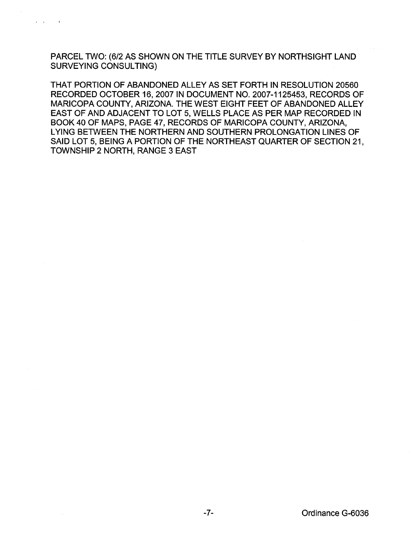PARCEL TWO: (6/2 AS SHOWN ON THE TITLE SURVEY BY NORTHSIGHT LAND SURVEYING CONSULTING)

 $\mathbf{r} = \mathbf{r}$ 

THAT PORTION OF ABANDONED ALLEY AS SET FORTH IN RESOLUTION 20560 RECORDED OCTOBER 16, 2007 IN DOCUMENT NO. 2007-1125453, RECORDS OF MARICOPA COUNTY, ARIZONA. THE WEST EIGHT FEET OF ABANDONED ALLEY EAST OF AND ADJACENT TO LOT 5, WELLS PLACE AS PER MAP RECORDED IN BOOK 40 OF MAPS, PAGE 47, RECORDS OF MARICOPA COUNTY, ARIZONA, LYING BETWEEN THE NORTHERN AND SOUTHERN PROLONGATION LINES OF SAID LOT 5, BEING A PORTION OF THE NORTHEAST QUARTER OF SECTION 21, TOWNSHIP 2 NORTH, RANGE 3 EAST